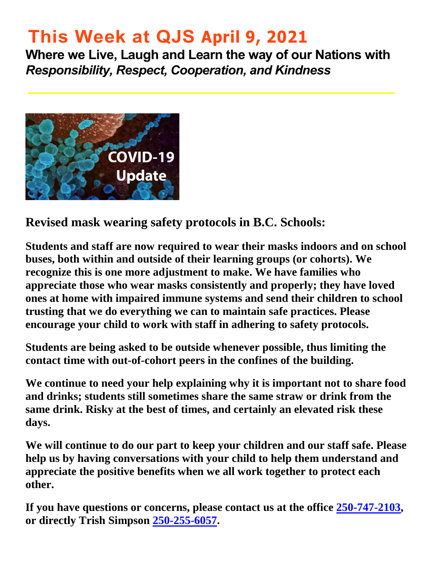# **This Week at QJS April 9, 2021**

**Where we Live, Laugh and Learn the way of our Nations with**  *Responsibility, Respect, Cooperation, and Kindness* 



**Revised mask wearing safety protocols in B.C. Schools:** 

**Students and staff are now required to wear their masks indoors and on school buses, both within and outside of their learning groups (or cohorts). We recognize this is one more adjustment to make. We have families who appreciate those who wear masks consistently and properly; they have loved ones at home with impaired immune systems and send their children to school trusting that we do everything we can to maintain safe practices. Please encourage your child to work with staff in adhering to safety protocols.** 

**Students are being asked to be outside whenever possible, thus limiting the contact time with out-of-cohort peers in the confines of the building.** 

**We continue to need your help explaining why it is important not to share food and drinks; students still sometimes share the same straw or drink from the same drink. Risky at the best of times, and certainly an elevated risk these days.** 

**We will continue to do our part to keep your children and our staff safe. Please help us by having conversations with your child to help them understand and appreciate the positive benefits when we all work together to protect each other.** 

**If you have questions or concerns, please contact us at the office [250-747-2103,](tel:2507472103) or directly Trish Simpson [250-255-6057.](tel:2502556057)**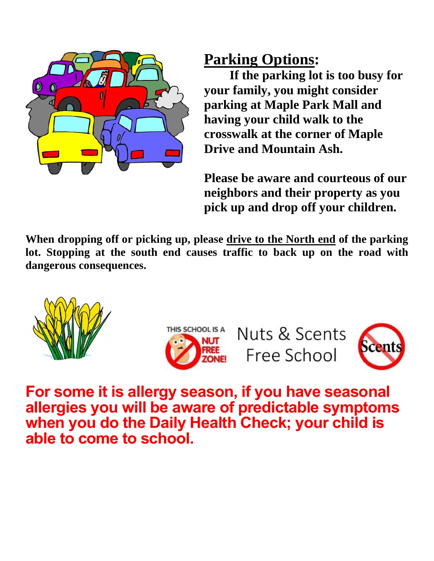

## **Parking Options:**

**If the parking lot is too busy for your family, you might consider parking at Maple Park Mall and having your child walk to the crosswalk at the corner of Maple Drive and Mountain Ash.** 

**Please be aware and courteous of our neighbors and their property as you pick up and drop off your children.** 

**When dropping off or picking up, please drive to the North end of the parking lot. Stopping at the south end causes traffic to back up on the road with dangerous consequences.** 





Nuts & Scents Free School



**For some it is allergy season, if you have seasonal allergies you will be aware of predictable symptoms when you do the Daily Health Check; your child is able to come to school.**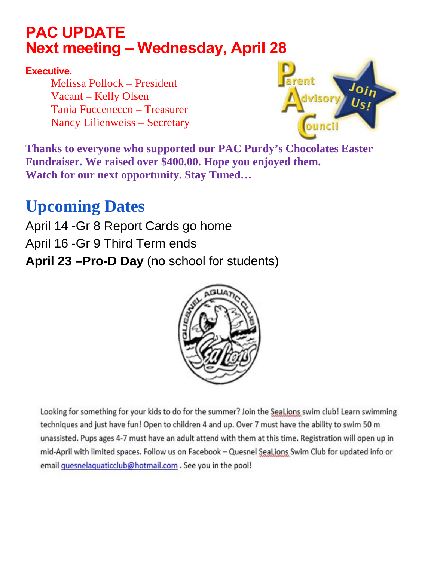## **PAC UPDATE Next meeting – Wednesday, April 28**

#### **Executive.**

Melissa Pollock – President Vacant – Kelly Olsen Tania Fuccenecco – Treasurer Nancy Lilienweiss – Secretary



**Thanks to everyone who supported our PAC Purdy's Chocolates Easter Fundraiser. We raised over \$400.00. Hope you enjoyed them. Watch for our next opportunity. Stay Tuned…** 

# **Upcoming Dates**

April 14 -Gr 8 Report Cards go home April 16 -Gr 9 Third Term ends **April 23 –Pro-D Day** (no school for students)



Looking for something for your kids to do for the summer? Join the SeaLions swim club! Learn swimming techniques and just have fun! Open to children 4 and up. Over 7 must have the ability to swim 50 m unassisted. Pups ages 4-7 must have an adult attend with them at this time. Registration will open up in mid-April with limited spaces. Follow us on Facebook - Quesnel Sealions Swim Club for updated info or email quesnelaquaticclub@hotmail.com. See you in the pool!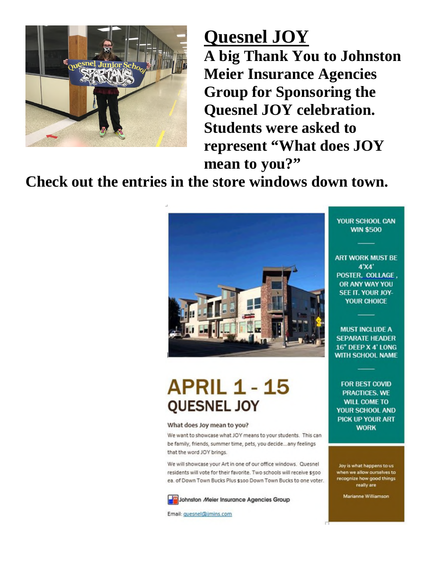

# **Quesnel JOY**

**A big Thank You to Johnston Meier Insurance Agencies Group for Sponsoring the Quesnel JOY celebration. Students were asked to represent "What does JOY mean to you?"** 

**Check out the entries in the store windows down town.**



# **APRIL 1 - 15 QUESNEL JOY**

#### What does Joy mean to you?

We want to showcase what JOY means to your students. This can be family, friends, summer time, pets, you decide...any feelings that the word JOY brings.

We will showcase your Art in one of our office windows. Quesnel residents will vote for their favorite. Two schools will receive \$500 ea. of Down Town Bucks Plus \$100 Down Town Bucks to one voter.

Johnston Meier Insurance Agencies Group

Email: guesnel@jmins.com

YOUR SCHOOL CAN **WIN \$500** 

**ART WORK MUST BE**  $4'XA'$ POSTER. COLLAGE. OR ANY WAY YOU SEE IT. YOUR JOY-YOUR CHOICE

**MUST INCLUDE A SEPARATE HEADER** 16" DEEP X 4' LONG WITH SCHOOL NAME

**FOR BEST COVID PRACTICES, WE WILL COME TO** YOUR SCHOOL AND **PICK UP YOUR ART WORK** 

Joy is what happens to us when we allow ourselves to recognize how good things really are

**Marianne Williamson**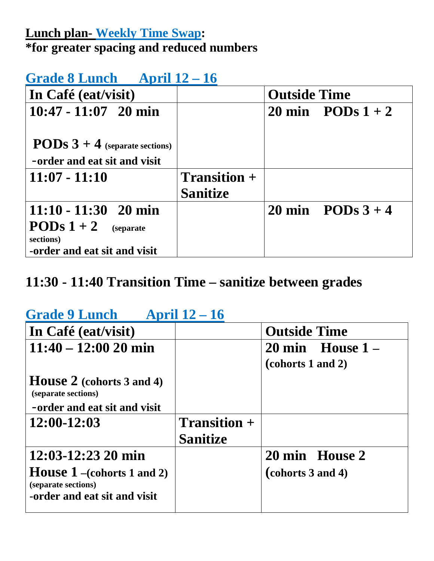### **Lunch plan- Weekly Time Swap: \*for greater spacing and reduced numbers**

#### **Grade 8 Lunch April 12 – 16**

| In Café (eat/visit)                                                     |                 | <b>Outside Time</b> |                   |
|-------------------------------------------------------------------------|-----------------|---------------------|-------------------|
| $10:47 - 11:07$ 20 min                                                  |                 |                     | 20 min PODs $1+2$ |
| <b>PODs</b> $3 + 4$ (separate sections)<br>-order and eat sit and visit |                 |                     |                   |
| $11:07 - 11:10$                                                         | $Transition +$  |                     |                   |
|                                                                         | <b>Sanitize</b> |                     |                   |
| $11:10 - 11:30$ 20 min                                                  |                 |                     | 20 min PODs $3+4$ |
| <b>PODs</b> $1 + 2$ (separate<br>sections)                              |                 |                     |                   |
| -order and eat sit and visit                                            |                 |                     |                   |

### **11:30 - 11:40 Transition Time – sanitize between grades**

### **Grade 9 Lunch April 12 – 16**

| In Café (eat/visit)               |                 | <b>Outside Time</b>          |
|-----------------------------------|-----------------|------------------------------|
| $11:40 - 12:00 20$ min            |                 | $20 \text{ min}$ House $1 -$ |
|                                   |                 | (cohorts 1 and 2)            |
| <b>House 2</b> (cohorts 3 and 4)  |                 |                              |
| (separate sections)               |                 |                              |
| -order and eat sit and visit      |                 |                              |
| $12:00-12:03$                     | $Transition +$  |                              |
|                                   |                 |                              |
|                                   | <b>Sanitize</b> |                              |
| $12:03-12:23$ 20 min              |                 | 20 min House 2               |
| <b>House 1</b> -(cohorts 1 and 2) |                 | (cohorts 3 and 4)            |
| (separate sections)               |                 |                              |
| -order and eat sit and visit      |                 |                              |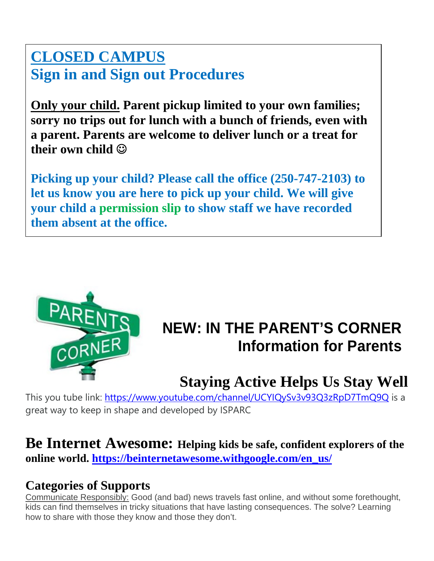## **CLOSED CAMPUS Sign in and Sign out Procedures**

**Only your child. Parent pickup limited to your own families; sorry no trips out for lunch with a bunch of friends, even with a parent. Parents are welcome to deliver lunch or a treat for their own child** 

**Picking up your child? Please call the office (250-747-2103) to let us know you are here to pick up your child. We will give your child a permission slip to show staff we have recorded them absent at the office.** 



# **NEW: IN THE PARENT'S CORNER Information for Parents**

# **Staying Active Helps Us Stay Well**

This you tube link:<https://www.youtube.com/channel/UCYIQySv3v93Q3zRpD7TmQ9Q>is a great way to keep in shape and developed by ISPARC

#### **Be Internet Awesome: Helping kids be safe, confident explorers of the online world. [https://beinternetawesome.withgoogle.com/en\\_us/](https://beinternetawesome.withgoogle.com/en_us/)**

### **Categories of Supports**

Communicate Responsibly: Good (and bad) news travels fast online, and without some forethought, kids can find themselves in tricky situations that have lasting consequences. The solve? Learning how to share with those they know and those they don't.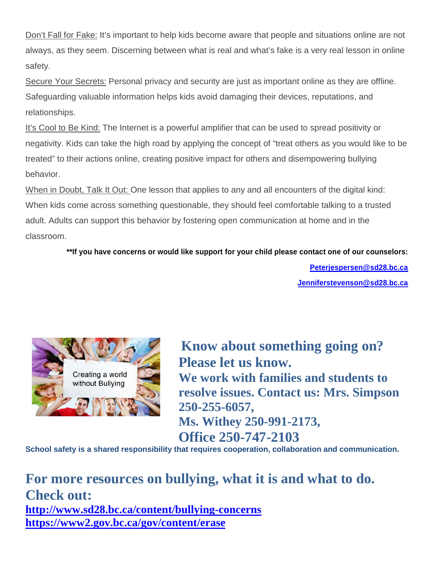Don't Fall for Fake: It's important to help kids become aware that people and situations online are not always, as they seem. Discerning between what is real and what's fake is a very real lesson in online safety.

Secure Your Secrets: Personal privacy and security are just as important online as they are offline. Safeguarding valuable information helps kids avoid damaging their devices, reputations, and relationships.

It's Cool to Be Kind: The Internet is a powerful amplifier that can be used to spread positivity or negativity. Kids can take the high road by applying the concept of "treat others as you would like to be treated" to their actions online, creating positive impact for others and disempowering bullying behavior.

When in Doubt, Talk It Out: One lesson that applies to any and all encounters of the digital kind: When kids come across something questionable, they should feel comfortable talking to a trusted adult. Adults can support this behavior by fostering open communication at home and in the classroom.

**\*\*If you have concerns or would like support for your child please contact one of our counselors:** 

**[Peterjespersen@sd28.bc.ca](mailto:Peterjespersen@sd28.bc.ca) [Jenniferstevenson@sd28.bc.ca](mailto:Jenniferstevenson@sd28.bc.ca)**



 **Know about something going on? Please let us know.**<br>Creating a world **We work with families and students to resolve issues. Contact us: Mrs. Simpson 250-255-6057, Ms. Withey 250-991-2173, Office 250-747-2103** 

**School safety is a shared responsibility that requires cooperation, collaboration and communication.** 

**For more resources on bullying, what it is and what to do. Check out: <http://www.sd28.bc.ca/content/bullying-concerns> <https://www2.gov.bc.ca/gov/content/erase>**